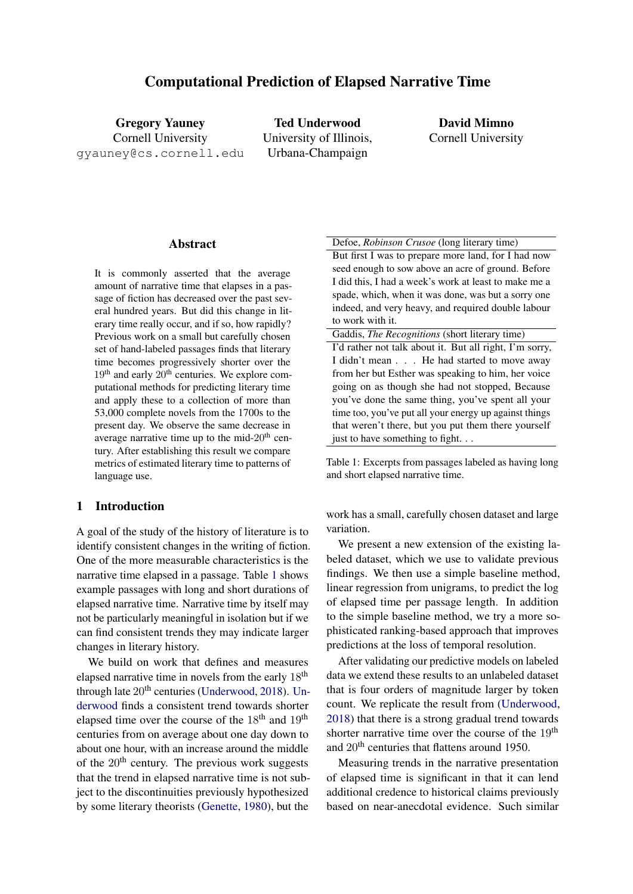Gregory Yauney Cornell University gyauney@cs.cornell.edu

Ted Underwood University of Illinois, Urbana-Champaign

David Mimno Cornell University

# **Abstract**

It is commonly asserted that the average amount of narrative time that elapses in a passage of fiction has decreased over the past several hundred years. But did this change in literary time really occur, and if so, how rapidly? Previous work on a small but carefully chosen set of hand-labeled passages finds that literary time becomes progressively shorter over the  $19<sup>th</sup>$  and early  $20<sup>th</sup>$  centuries. We explore computational methods for predicting literary time and apply these to a collection of more than 53,000 complete novels from the 1700s to the present day. We observe the same decrease in average narrative time up to the mid- $20<sup>th</sup>$  century. After establishing this result we compare metrics of estimated literary time to patterns of language use.

# 1 Introduction

A goal of the study of the history of literature is to identify consistent changes in the writing of fiction. One of the more measurable characteristics is the narrative time elapsed in a passage. Table [1](#page-0-0) shows example passages with long and short durations of elapsed narrative time. Narrative time by itself may not be particularly meaningful in isolation but if we can find consistent trends they may indicate larger changes in literary history.

We build on work that defines and measures elapsed narrative time in novels from the early 18th through late  $20<sup>th</sup>$  centuries [\(Underwood,](#page-6-0) [2018\)](#page-6-0). [Un](#page-6-0)[derwood](#page-6-0) finds a consistent trend towards shorter elapsed time over the course of the  $18<sup>th</sup>$  and  $19<sup>th</sup>$ centuries from on average about one day down to about one hour, with an increase around the middle of the  $20<sup>th</sup>$  century. The previous work suggests that the trend in elapsed narrative time is not subject to the discontinuities previously hypothesized by some literary theorists [\(Genette,](#page-6-1) [1980\)](#page-6-1), but the

<span id="page-0-0"></span>Defoe, *Robinson Crusoe* (long literary time) But first I was to prepare more land, for I had now seed enough to sow above an acre of ground. Before I did this, I had a week's work at least to make me a spade, which, when it was done, was but a sorry one indeed, and very heavy, and required double labour to work with it.

Gaddis, *The Recognitions* (short literary time) I'd rather not talk about it. But all right, I'm sorry, I didn't mean . . . He had started to move away from her but Esther was speaking to him, her voice going on as though she had not stopped, Because you've done the same thing, you've spent all your time too, you've put all your energy up against things that weren't there, but you put them there yourself just to have something to fight. . .

Table 1: Excerpts from passages labeled as having long and short elapsed narrative time.

work has a small, carefully chosen dataset and large variation.

We present a new extension of the existing labeled dataset, which we use to validate previous findings. We then use a simple baseline method, linear regression from unigrams, to predict the log of elapsed time per passage length. In addition to the simple baseline method, we try a more sophisticated ranking-based approach that improves predictions at the loss of temporal resolution.

After validating our predictive models on labeled data we extend these results to an unlabeled dataset that is four orders of magnitude larger by token count. We replicate the result from [\(Underwood,](#page-6-0) [2018\)](#page-6-0) that there is a strong gradual trend towards shorter narrative time over the course of the  $19<sup>th</sup>$ and 20<sup>th</sup> centuries that flattens around 1950.

Measuring trends in the narrative presentation of elapsed time is significant in that it can lend additional credence to historical claims previously based on near-anecdotal evidence. Such similar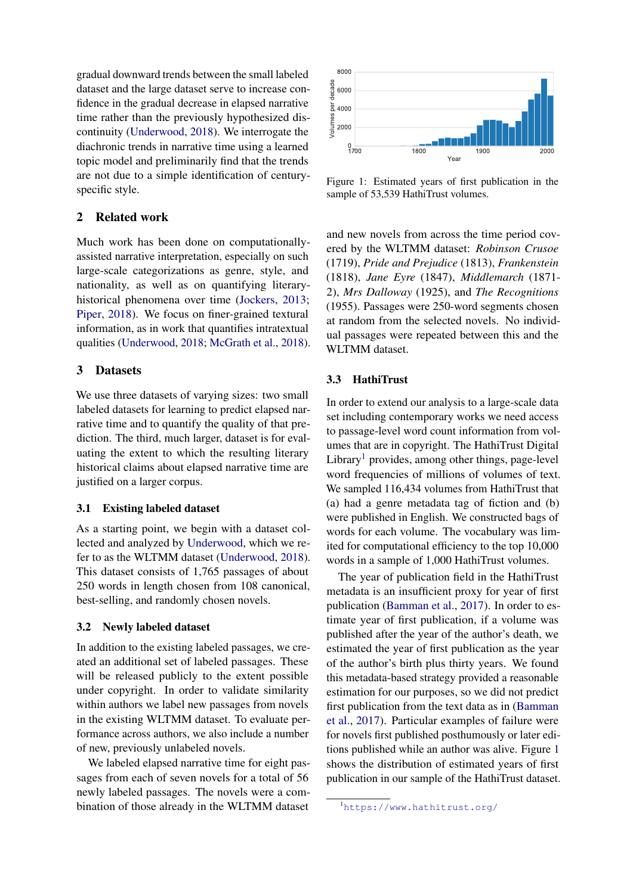gradual downward trends between the small labeled dataset and the large dataset serve to increase confidence in the gradual decrease in elapsed narrative time rather than the previously hypothesized discontinuity [\(Underwood,](#page-6-0) [2018\)](#page-6-0). We interrogate the diachronic trends in narrative time using a learned topic model and preliminarily find that the trends are not due to a simple identification of centuryspecific style.

## 2 Related work

Much work has been done on computationallyassisted narrative interpretation, especially on such large-scale categorizations as genre, style, and nationality, as well as on quantifying literaryhistorical phenomena over time [\(Jockers,](#page-6-2) [2013;](#page-6-2) [Piper,](#page-6-3) [2018\)](#page-6-3). We focus on finer-grained textural information, as in work that quantifies intratextual qualities [\(Underwood,](#page-6-0) [2018;](#page-6-0) [McGrath et al.,](#page-6-4) [2018\)](#page-6-4).

# 3 Datasets

We use three datasets of varying sizes: two small labeled datasets for learning to predict elapsed narrative time and to quantify the quality of that prediction. The third, much larger, dataset is for evaluating the extent to which the resulting literary historical claims about elapsed narrative time are justified on a larger corpus.

## 3.1 Existing labeled dataset

As a starting point, we begin with a dataset collected and analyzed by [Underwood,](#page-6-0) which we refer to as the WLTMM dataset [\(Underwood,](#page-6-0) [2018\)](#page-6-0). This dataset consists of 1,765 passages of about 250 words in length chosen from 108 canonical, best-selling, and randomly chosen novels.

#### 3.2 Newly labeled dataset

In addition to the existing labeled passages, we created an additional set of labeled passages. These will be released publicly to the extent possible under copyright. In order to validate similarity within authors we label new passages from novels in the existing WLTMM dataset. To evaluate performance across authors, we also include a number of new, previously unlabeled novels.

We labeled elapsed narrative time for eight passages from each of seven novels for a total of 56 newly labeled passages. The novels were a combination of those already in the WLTMM dataset

<span id="page-1-1"></span>

Figure 1: Estimated years of first publication in the sample of 53,539 HathiTrust volumes.

and new novels from across the time period covered by the WLTMM dataset: *Robinson Crusoe* (1719), *Pride and Prejudice* (1813), *Frankenstein* (1818), *Jane Eyre* (1847), *Middlemarch* (1871- 2), *Mrs Dalloway* (1925), and *The Recognitions* (1955). Passages were 250-word segments chosen at random from the selected novels. No individual passages were repeated between this and the WLTMM dataset.

# 3.3 HathiTrust

In order to extend our analysis to a large-scale data set including contemporary works we need access to passage-level word count information from volumes that are in copyright. The HathiTrust Digital Library<sup>[1](#page-1-0)</sup> provides, among other things, page-level word frequencies of millions of volumes of text. We sampled 116,434 volumes from HathiTrust that (a) had a genre metadata tag of fiction and (b) were published in English. We constructed bags of words for each volume. The vocabulary was limited for computational efficiency to the top 10,000 words in a sample of 1,000 HathiTrust volumes.

The year of publication field in the HathiTrust metadata is an insufficient proxy for year of first publication [\(Bamman et al.,](#page-6-5) [2017\)](#page-6-5). In order to estimate year of first publication, if a volume was published after the year of the author's death, we estimated the year of first publication as the year of the author's birth plus thirty years. We found this metadata-based strategy provided a reasonable estimation for our purposes, so we did not predict first publication from the text data as in [\(Bamman](#page-6-5) [et al.,](#page-6-5) [2017\)](#page-6-5). Particular examples of failure were for novels first published posthumously or later editions published while an author was alive. Figure [1](#page-1-1) shows the distribution of estimated years of first publication in our sample of the HathiTrust dataset.

<span id="page-1-0"></span><sup>1</sup>[https://www.hathitrust.org/]( https://www.hathitrust.org/)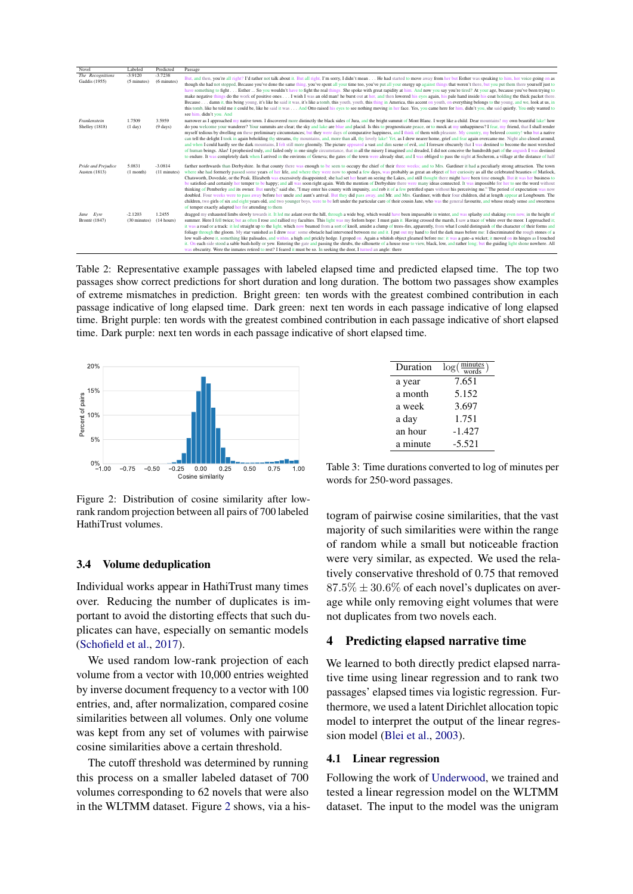<span id="page-2-2"></span>

| Novel                                | Labeled                   | Predicted                    | Passage                                                                                                                                                                                                                                                                                                                                                                                                                                                                                                                                                                                                                                                                                                                                                                                                                                                                                                                                                                                                                                                                                                                                                                                                                                                                                                                                                                                                                                                                                      |
|--------------------------------------|---------------------------|------------------------------|----------------------------------------------------------------------------------------------------------------------------------------------------------------------------------------------------------------------------------------------------------------------------------------------------------------------------------------------------------------------------------------------------------------------------------------------------------------------------------------------------------------------------------------------------------------------------------------------------------------------------------------------------------------------------------------------------------------------------------------------------------------------------------------------------------------------------------------------------------------------------------------------------------------------------------------------------------------------------------------------------------------------------------------------------------------------------------------------------------------------------------------------------------------------------------------------------------------------------------------------------------------------------------------------------------------------------------------------------------------------------------------------------------------------------------------------------------------------------------------------|
| The Recognitions<br>Gaddis (1955)    | $-3.9120$<br>(5 minutes)  | $-3.7238$<br>(6 minutes)     | But, and then, you're all right? I'd rather not talk about it. But all right, I'm sorry, I didn't mean He had started to move away from her but Esther was speaking to him, her voice going on as<br>though she had not stopped. Because you've done the same thing, you've spent all your time too, you've put all your energy up against things that weren't there, but you put them there yourself just to<br>have something to fight Esther  So you wouldn't have to fight the real things. She spoke with great rapidity at him. And now you say you're tired? At your age, because you've been trying to<br>make negative things do the work of positive ones I wish I was an old man! he burst out at her, and then lowered his eyes again, his pale hand inside his coat holding the thick packet there.<br>Because damn it, this being young, it's like he said it was, it's like a tomb, this youth, youth, this thing in America, this accent on youth, on everything belongs to the young, and we, look at us, in<br>this tomb, like he told me it could be, like he said it was And Otto raised his eyes to see nothing moving in her face. Yes, you came here for him, didn't you, she said quietly. You only wanted to<br>see him, didn't you. And                                                                                                                                                                                                                            |
| Frankenstein<br>Shelley (1818)       | 1.7509<br>(1 day)         | 3.5959<br>$(9 \text{ days})$ | narrower as I approached my native town. I discovered more distinctly the black sides of Jura, and the bright summit of Mont Blanc. I wept like a child. Dear mountains! my own beautiful lake! how<br>do you welcome your wanderer? Your summits are clear; the sky and lake are blue and placid. Is this to prognosticate peace, or to mock at my unhappiness? I fear, my friend, that I shall render<br>myself tedious by dwelling on these preliminary circumstances; but they were days of comparative happiness, and I think of them with pleasure. My country, my beloved country! who but a native<br>can tell the delight I took in again beholding thy streams, thy mountains, and, more than all, thy lovely lake! Yet, as I drew nearer home, grief and fear again overcame me. Night also closed around;<br>and when I could hardly see the dark mountains, I felt still more gloomily. The picture appeared a vast and dim scene of evil, and I foresaw obscurely that I was destined to become the most wretched<br>of human beings. Alas! I prophesied truly, and failed only in one single circumstance, that in all the misery I imagined and dreaded, I did not conceive the hundredth part of the anguish I was destined<br>to endure. It was completely dark when I arrived in the environs of Geneva; the gates of the town were already shut; and I was obliged to pass the night at Secheron, a village at the distance of half                                      |
| Pride and Prejudice<br>Austen (1813) | 5.0831<br>$(1$ month)     | $-3.0814$<br>(11 minutes)    | farther northwards than Derbyshire. In that county there was enough to be seen to occupy the chief of their three weeks; and to Mrs. Gardiner it had a peculiarly strong attraction. The town<br>where she had formerly passed some years of her life, and where they were now to spend a few days, was probably as great an object of her curiosity as all the celebrated beauties of Matlock,<br>Chatsworth, Dovedale, or the Peak. Elizabeth was excessively disappointed; she had set her heart on seeing the Lakes, and still thought there might have been time enough. But it was her business to<br>be satisfied-and certainly her temper to be happy; and all was soon right again. With the mention of Derbyshire there were many ideas connected. It was impossible for her to see the word without<br>thinking of Pemberley and its owner. But surely," said she, "I may enter his county with impunity, and rob it of a few petrified spars without his perceiving me." The period of expectation was now<br>doubled. Four weeks were to pass away before her uncle and aunt's arrival. But they did pass away, and Mr. and Mrs. Gardiner, with their four children, did at length appear at Longbourn. The<br>children, two girls of six and eight years old, and two younger boys, were to be left under the particular care of their cousin Jane, who was the general fayourite, and whose steady sense and sweetness<br>of temper exactly adapted her for attending to them |
| Jane Eyre<br>Brontë (1847)           | $-2.1203$<br>(30 minutes) | 1.2455<br>(14 hours)         | dragged my exhausted limbs slowly towards it. It led me aslant over the hill, through a wide bog, which would have been impassable in winter, and was splashy and shaking even now, in the height of<br>summer. Here I fell twice; but as often I rose and rallied my faculties. This light was my forlorn hope: I must gain it. Having crossed the marsh, I saw a trace of white over the moor. I approached it;<br>it was a road or a track: it led straight up to the light, which now beamed from a sort of knoll, amidst a clump of trees-firs, apparently, from what I could distinguish of the character of their forms and<br>foliage through the gloom. My star vanished as I drew near: some obstacle had intervened between me and it. I put out my hand to feel the dark mass before me: I discriminated the rough stones of a<br>low wall-above it, something like palisades, and within, a high and prickly hedge. I groped on. Again a whitish object gleamed before me: it was a gate-a wicket; it moved on its hinges as I touched<br>it. On each side stood a sable bush-holly or yew. Entering the gate and passing the shrubs, the silhouette of a house rose to view, black, low, and rather long; but the guiding light shone nowhere. All<br>was obscurity. Were the inmates retired to rest? I feared it must be so. In seeking the door, I turned an angle: there                                                                                                   |

Table 2: Representative example passages with labeled elapsed time and predicted elapsed time. The top two passages show correct predictions for short duration and long duration. The bottom two passages show examples of extreme mismatches in prediction. Bright green: ten words with the greatest combined contribution in each passage indicative of long elapsed time. Dark green: next ten words in each passage indicative of long elapsed time. Bright purple: ten words with the greatest combined contribution in each passage indicative of short elapsed time. Dark purple: next ten words in each passage indicative of short elapsed time.

<span id="page-2-0"></span>

Figure 2: Distribution of cosine similarity after lowrank random projection between all pairs of 700 labeled HathiTrust volumes.

#### 3.4 Volume deduplication

Individual works appear in HathiTrust many times over. Reducing the number of duplicates is important to avoid the distorting effects that such duplicates can have, especially on semantic models [\(Schofield et al.,](#page-6-6) [2017\)](#page-6-6).

We used random low-rank projection of each volume from a vector with 10,000 entries weighted by inverse document frequency to a vector with 100 entries, and, after normalization, compared cosine similarities between all volumes. Only one volume was kept from any set of volumes with pairwise cosine similarities above a certain threshold.

The cutoff threshold was determined by running this process on a smaller labeled dataset of 700 volumes corresponding to 62 novels that were also in the WLTMM dataset. Figure [2](#page-2-0) shows, via a his-

<span id="page-2-1"></span>

| Duration | $\log(\frac{\text{minutes}}{\text{words}})$ |
|----------|---------------------------------------------|
| a year   | 7.651                                       |
| a month  | 5.152                                       |
| a week   | 3.697                                       |
| a day    | 1.751                                       |
| an hour  | $-1.427$                                    |
| a minute | $-5.521$                                    |

Table 3: Time durations converted to log of minutes per words for 250-word passages.

togram of pairwise cosine similarities, that the vast majority of such similarities were within the range of random while a small but noticeable fraction were very similar, as expected. We used the relatively conservative threshold of 0.75 that removed  $87.5\% \pm 30.6\%$  of each novel's duplicates on average while only removing eight volumes that were not duplicates from two novels each.

# 4 Predicting elapsed narrative time

We learned to both directly predict elapsed narrative time using linear regression and to rank two passages' elapsed times via logistic regression. Furthermore, we used a latent Dirichlet allocation topic model to interpret the output of the linear regression model [\(Blei et al.,](#page-6-7) [2003\)](#page-6-7).

#### 4.1 Linear regression

Following the work of [Underwood,](#page-6-0) we trained and tested a linear regression model on the WLTMM dataset. The input to the model was the unigram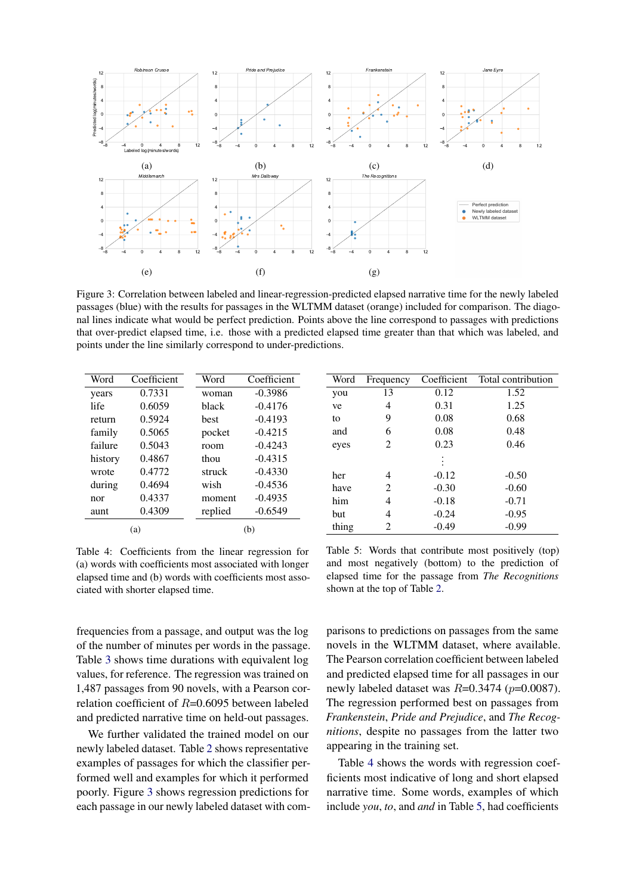<span id="page-3-0"></span>

Figure 3: Correlation between labeled and linear-regression-predicted elapsed narrative time for the newly labeled passages (blue) with the results for passages in the WLTMM dataset (orange) included for comparison. The diagonal lines indicate what would be perfect prediction. Points above the line correspond to passages with predictions that over-predict elapsed time, i.e. those with a predicted elapsed time greater than that which was labeled, and points under the line similarly correspond to under-predictions.

<span id="page-3-1"></span>

| Word    | Coefficient | Word    | Coefficient | Word  | Frequency      | Coefficient | Total contribution |
|---------|-------------|---------|-------------|-------|----------------|-------------|--------------------|
| years   | 0.7331      | woman   | $-0.3986$   | you   | 13             | 0.12        | 1.52               |
| life    | 0.6059      | black   | $-0.4176$   | ve    | 4              | 0.31        | 1.25               |
| return  | 0.5924      | best    | $-0.4193$   | to    | 9              | 0.08        | 0.68               |
| family  | 0.5065      | pocket  | $-0.4215$   | and   | 6              | 0.08        | 0.48               |
| failure | 0.5043      | room    | $-0.4243$   | eyes  | 2              | 0.23        | 0.46               |
| history | 0.4867      | thou    | $-0.4315$   |       |                |             |                    |
| wrote   | 0.4772      | struck  | $-0.4330$   | her   | 4              | $-0.12$     | $-0.50$            |
| during  | 0.4694      | wish    | $-0.4536$   | have  | $\overline{2}$ | $-0.30$     | $-0.60$            |
| nor     | 0.4337      | moment  | $-0.4935$   | him   | 4              | $-0.18$     | $-0.71$            |
| aunt    | 0.4309      | replied | $-0.6549$   | but   | 4              | $-0.24$     | $-0.95$            |
| (a)     |             | (b)     |             | thing | 2              | $-0.49$     | $-0.99$            |

Table 4: Coefficients from the linear regression for (a) words with coefficients most associated with longer elapsed time and (b) words with coefficients most associated with shorter elapsed time.

frequencies from a passage, and output was the log of the number of minutes per words in the passage. Table [3](#page-2-1) shows time durations with equivalent log values, for reference. The regression was trained on 1,487 passages from 90 novels, with a Pearson correlation coefficient of  $R=0.6095$  between labeled and predicted narrative time on held-out passages.

We further validated the trained model on our newly labeled dataset. Table [2](#page-2-2) shows representative examples of passages for which the classifier performed well and examples for which it performed poorly. Figure [3](#page-3-0) shows regression predictions for each passage in our newly labeled dataset with com-

<span id="page-3-2"></span>Table 5: Words that contribute most positively (top) and most negatively (bottom) to the prediction of elapsed time for the passage from *The Recognitions* shown at the top of Table [2.](#page-2-2)

parisons to predictions on passages from the same novels in the WLTMM dataset, where available. The Pearson correlation coefficient between labeled and predicted elapsed time for all passages in our newly labeled dataset was  $R=0.3474$  ( $p=0.0087$ ). The regression performed best on passages from *Frankenstein*, *Pride and Prejudice*, and *The Recognitions*, despite no passages from the latter two appearing in the training set.

Table [4](#page-3-1) shows the words with regression coefficients most indicative of long and short elapsed narrative time. Some words, examples of which include *you*, *to*, and *and* in Table [5,](#page-3-2) had coefficients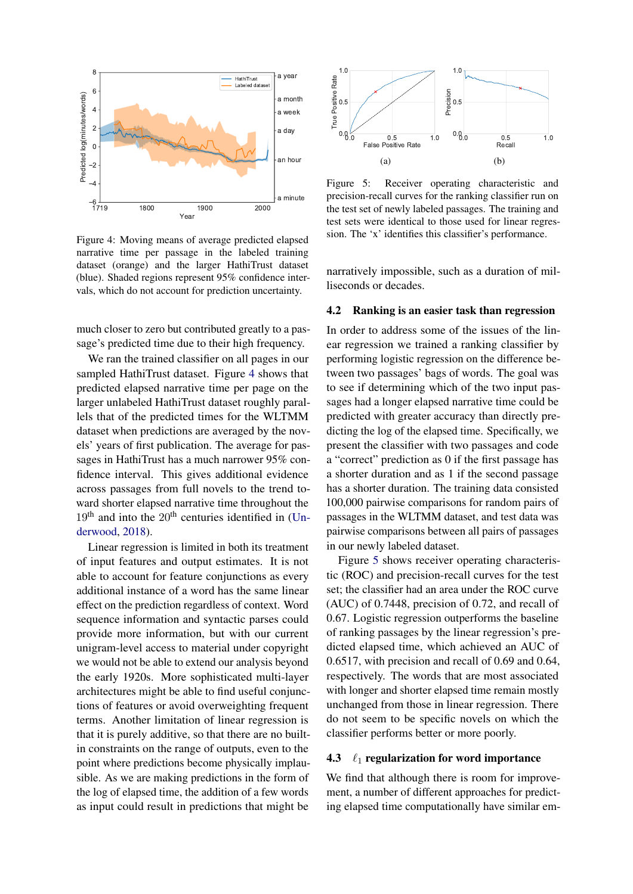<span id="page-4-0"></span>

Figure 4: Moving means of average predicted elapsed narrative time per passage in the labeled training dataset (orange) and the larger HathiTrust dataset (blue). Shaded regions represent 95% confidence intervals, which do not account for prediction uncertainty.

much closer to zero but contributed greatly to a passage's predicted time due to their high frequency.

We ran the trained classifier on all pages in our sampled HathiTrust dataset. Figure [4](#page-4-0) shows that predicted elapsed narrative time per page on the larger unlabeled HathiTrust dataset roughly parallels that of the predicted times for the WLTMM dataset when predictions are averaged by the novels' years of first publication. The average for passages in HathiTrust has a much narrower 95% confidence interval. This gives additional evidence across passages from full novels to the trend toward shorter elapsed narrative time throughout the  $19<sup>th</sup>$  and into the  $20<sup>th</sup>$  centuries identified in [\(Un](#page-6-0)[derwood,](#page-6-0) [2018\)](#page-6-0).

Linear regression is limited in both its treatment of input features and output estimates. It is not able to account for feature conjunctions as every additional instance of a word has the same linear effect on the prediction regardless of context. Word sequence information and syntactic parses could provide more information, but with our current unigram-level access to material under copyright we would not be able to extend our analysis beyond the early 1920s. More sophisticated multi-layer architectures might be able to find useful conjunctions of features or avoid overweighting frequent terms. Another limitation of linear regression is that it is purely additive, so that there are no builtin constraints on the range of outputs, even to the point where predictions become physically implausible. As we are making predictions in the form of the log of elapsed time, the addition of a few words as input could result in predictions that might be

<span id="page-4-1"></span>

Figure 5: Receiver operating characteristic and precision-recall curves for the ranking classifier run on the test set of newly labeled passages. The training and test sets were identical to those used for linear regression. The 'x' identifies this classifier's performance.

narratively impossible, such as a duration of milliseconds or decades.

#### 4.2 Ranking is an easier task than regression

In order to address some of the issues of the linear regression we trained a ranking classifier by performing logistic regression on the difference between two passages' bags of words. The goal was to see if determining which of the two input passages had a longer elapsed narrative time could be predicted with greater accuracy than directly predicting the log of the elapsed time. Specifically, we present the classifier with two passages and code a "correct" prediction as 0 if the first passage has a shorter duration and as 1 if the second passage has a shorter duration. The training data consisted 100,000 pairwise comparisons for random pairs of passages in the WLTMM dataset, and test data was pairwise comparisons between all pairs of passages in our newly labeled dataset.

Figure [5](#page-4-1) shows receiver operating characteristic (ROC) and precision-recall curves for the test set; the classifier had an area under the ROC curve (AUC) of 0.7448, precision of 0.72, and recall of 0.67. Logistic regression outperforms the baseline of ranking passages by the linear regression's predicted elapsed time, which achieved an AUC of 0.6517, with precision and recall of 0.69 and 0.64, respectively. The words that are most associated with longer and shorter elapsed time remain mostly unchanged from those in linear regression. There do not seem to be specific novels on which the classifier performs better or more poorly.

#### 4.3  $\ell_1$  regularization for word importance

We find that although there is room for improvement, a number of different approaches for predicting elapsed time computationally have similar em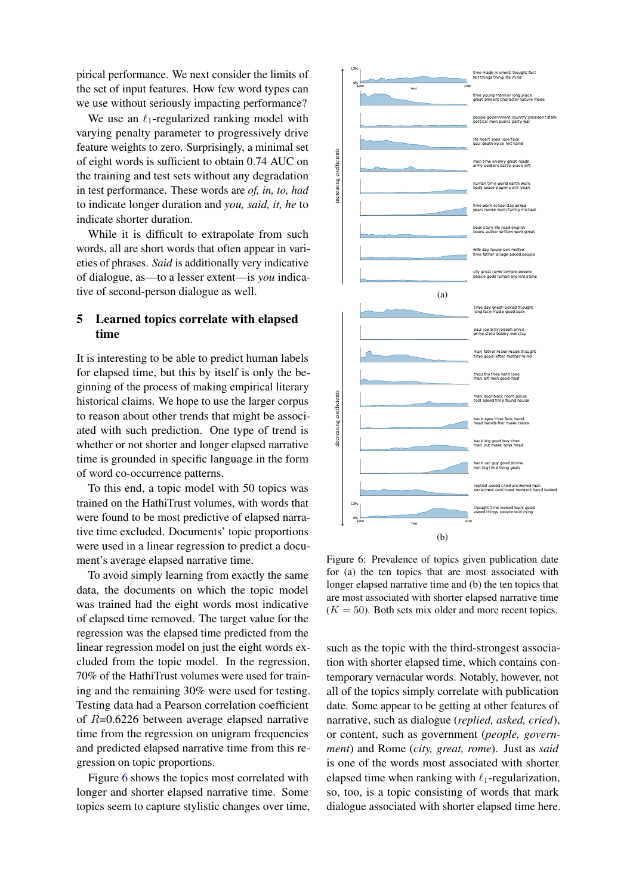pirical performance. We next consider the limits of the set of input features. How few word types can we use without seriously impacting performance?

We use an  $\ell_1$ -regularized ranking model with varying penalty parameter to progressively drive feature weights to zero. Surprisingly, a minimal set of eight words is sufficient to obtain 0.74 AUC on the training and test sets without any degradation in test performance. These words are *of, in, to, had* to indicate longer duration and *you, said, it, he* to indicate shorter duration.

While it is difficult to extrapolate from such words, all are short words that often appear in varieties of phrases. *Said* is additionally very indicative of dialogue, as—to a lesser extent—is *you* indicative of second-person dialogue as well.

# 5 Learned topics correlate with elapsed time

It is interesting to be able to predict human labels for elapsed time, but this by itself is only the beginning of the process of making empirical literary historical claims. We hope to use the larger corpus to reason about other trends that might be associated with such prediction. One type of trend is whether or not shorter and longer elapsed narrative time is grounded in specific language in the form of word co-occurrence patterns.

To this end, a topic model with 50 topics was trained on the HathiTrust volumes, with words that were found to be most predictive of elapsed narrative time excluded. Documents' topic proportions were used in a linear regression to predict a document's average elapsed narrative time.

To avoid simply learning from exactly the same data, the documents on which the topic model was trained had the eight words most indicative of elapsed time removed. The target value for the regression was the elapsed time predicted from the linear regression model on just the eight words excluded from the topic model. In the regression, 70% of the HathiTrust volumes were used for training and the remaining 30% were used for testing. Testing data had a Pearson correlation coefficient of  $R=0.6226$  between average elapsed narrative time from the regression on unigram frequencies and predicted elapsed narrative time from this regression on topic proportions.

Figure [6](#page-5-0) shows the topics most correlated with longer and shorter elapsed narrative time. Some topics seem to capture stylistic changes over time,

<span id="page-5-0"></span>

Figure 6: Prevalence of topics given publication date for (a) the ten topics that are most associated with longer elapsed narrative time and (b) the ten topics that are most associated with shorter elapsed narrative time  $(K = 50)$ . Both sets mix older and more recent topics.

such as the topic with the third-strongest association with shorter elapsed time, which contains contemporary vernacular words. Notably, however, not all of the topics simply correlate with publication date. Some appear to be getting at other features of narrative, such as dialogue (*replied, asked, cried*), or content, such as government (*people, government*) and Rome (*city, great, rome*). Just as *said* is one of the words most associated with shorter elapsed time when ranking with  $\ell_1$ -regularization, so, too, is a topic consisting of words that mark dialogue associated with shorter elapsed time here.